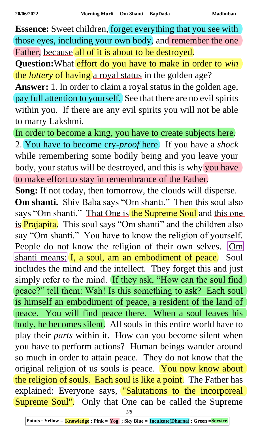**Essence:** Sweet children, forget everything that you see with those eyes, including your own body, and remember the one Father, because all of it is about to be destroyed.

**Question:**What effort do you have to make in order to *win* the *lottery* of having a royal status in the golden age?

**Answer:** 1. In order to claim a royal status in the golden age, pay full attention to yourself. See that there are no evil spirits within you. If there are any evil spirits you will not be able to marry Lakshmi.

In order to become a king, you have to create subjects here. 2. You have to become cry-*proof* here. If you have a *shock* while remembering some bodily being and you leave your body, your status will be destroyed, and this is why you have to make effort to stay in remembrance of the Father.

**Song:** If not today, then tomorrow, the clouds will disperse. **Om shanti.** Shiv Baba says "Om shanti." Then this soul also says "Om shanti." That One is the Supreme Soul and this one is Prajapita. This soul says "Om shanti" and the children also say "Om shanti." You have to know the religion of yourself. People do not know the religion of their own selves. Om shanti means: I, a soul, am an embodiment of peace. Soul includes the mind and the intellect. They forget this and just simply refer to the mind. If they ask, "How can the soul find peace?" tell them: Wah! Is this something to ask? Each soul is himself an embodiment of peace, a resident of the land of peace. You will find peace there. When a soul leaves his body, he becomes silent. All souls in this entire world have to play their *parts* within it. How can you become silent when you have to perform actions? Human beings wander around so much in order to attain peace. They do not know that the original religion of us souls is peace. You now know about the religion of souls. Each soul is like a point. The Father has explained: Everyone says, "Salutations to the incorporeal Supreme Soul". Only that One can be called the Supreme

*1/8*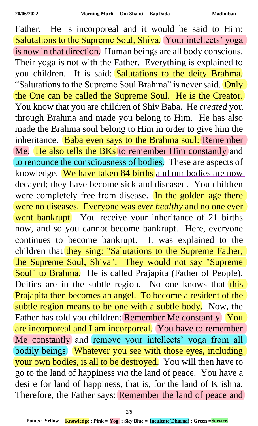Father. He is incorporeal and it would be said to Him: Salutations to the Supreme Soul, Shiva. Your intellects' yoga is now in that direction. Human beings are all body conscious. Their yoga is not with the Father. Everything is explained to you children. It is said: Salutations to the deity Brahma. "Salutations to the Supreme Soul Brahma" is never said. Only the One can be called the Supreme Soul. He is the Creator. You know that you are children of Shiv Baba. He *created* you through Brahma and made you belong to Him. He has also made the Brahma soul belong to Him in order to give him the inheritance. Baba even says to the Brahma soul: Remember Me. He also tells the BKs to remember Him constantly and to renounce the consciousness of bodies. These are aspects of knowledge. We have taken 84 births and our bodies are now decayed; they have become sick and diseased. You children were completely free from disease. In the golden age there were no diseases. Everyone was *ever healthy* and no one ever went bankrupt. You receive your inheritance of 21 births now, and so you cannot become bankrupt. Here, everyone continues to become bankrupt. It was explained to the children that they sing: "Salutations to the Supreme Father, the Supreme Soul, Shiva". They would not say "Supreme Soul" to Brahma. He is called Prajapita (Father of People). Deities are in the subtle region. No one knows that this Prajapita then becomes an angel. To become a resident of the subtle region means to be one with a subtle body. Now, the Father has told you children: Remember Me constantly. You are incorporeal and I am incorporeal. You have to remember Me constantly and remove your intellects' yoga from all bodily beings. Whatever you see with those eyes, including your own bodies, is all to be destroyed. You will then have to go to the land of happiness *via* the land of peace. You have a desire for land of happiness, that is, for the land of Krishna. Therefore, the Father says: Remember the land of peace and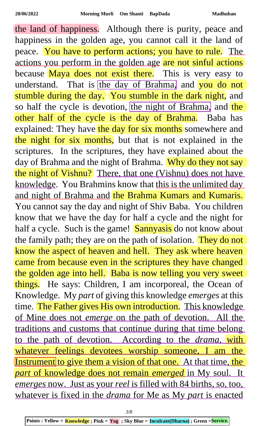the land of happiness. Although there is purity, peace and happiness in the golden age, you cannot call it the land of peace. You have to perform actions; you have to rule. The actions you perform in the golden age are not sinful actions because Maya does not exist there. This is very easy to understand. That is the day of Brahma, and you do not stumble during the day. You stumble in the dark night, and so half the cycle is devotion, the night of Brahma, and the other half of the cycle is the day of Brahma. Baba has explained: They have the day for six months somewhere and the night for six months, but that is not explained in the scriptures. In the scriptures, they have explained about the day of Brahma and the night of Brahma. Why do they not say the night of Vishnu? There, that one (Vishnu) does not have knowledge. You Brahmins know that this is the unlimited day and night of Brahma and the Brahma Kumars and Kumaris. You cannot say the day and night of Shiv Baba. You children know that we have the day for half a cycle and the night for half a cycle. Such is the game! Sannyasis do not know about the family path; they are on the path of isolation. They do not know the aspect of heaven and hell. They ask where heaven came from because even in the scriptures they have changed the golden age into hell. Baba is now telling you very sweet things. He says: Children, I am incorporeal, the Ocean of Knowledge. My *part* of giving this knowledge *emerges* at this time. The Father gives His own introduction. This knowledge of Mine does not *emerge* on the path of devotion. All the traditions and customs that continue during that time belong to the path of devotion. According to the *drama*, with whatever feelings devotees worship someone, I am the Instrument to give them a vision of that one. At that time, the *part* of knowledge does not remain *emerged* in My soul. It *emerges* now. Just as your *reel* is filled with 84 births, so, too, whatever is fixed in the *drama* for Me as My *part* is enacted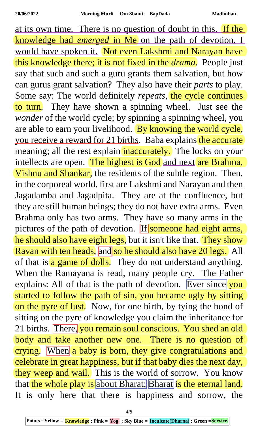at its own time. There is no question of doubt in this. If the knowledge had *emerged* in Me on the path of devotion, I would have spoken it. Not even Lakshmi and Narayan have this knowledge there; it is not fixed in the *drama*. People just say that such and such a guru grants them salvation, but how can gurus grant salvation? They also have their *parts* to play. Some say: The world definitely *repeats*, the cycle continues to turn. They have shown a spinning wheel. Just see the *wonder* of the world cycle; by spinning a spinning wheel, you are able to earn your livelihood. By knowing the world cycle, you receive a reward for 21 births. Baba explains the accurate meaning; all the rest explain inaccurately. The locks on your intellects are open. The highest is God and next are Brahma, Vishnu and Shankar, the residents of the subtle region. Then, in the corporeal world, first are Lakshmi and Narayan and then Jagadamba and Jagadpita. They are at the confluence, but they are still human beings; they do not have extra arms. Even Brahma only has two arms. They have so many arms in the pictures of the path of devotion. If someone had eight arms, he should also have eight legs, but it isn't like that. They show Ravan with ten heads, and so he should also have 20 legs. All of that is  $\alpha$  game of dolls. They do not understand anything. When the Ramayana is read, many people cry. The Father explains: All of that is the path of devotion. Ever since you started to follow the path of sin, you became ugly by sitting on the pyre of lust. Now, for one birth, by tying the bond of sitting on the pyre of knowledge you claim the inheritance for 21 births. There, you remain soul conscious. You shed an old body and take another new one. There is no question of crying. When a baby is born, they give congratulations and celebrate in great happiness, but if that baby dies the next day, they weep and wail. This is the world of sorrow. You know that the whole play is about Bharat; Bharat is the eternal land. It is only here that there is happiness and sorrow, the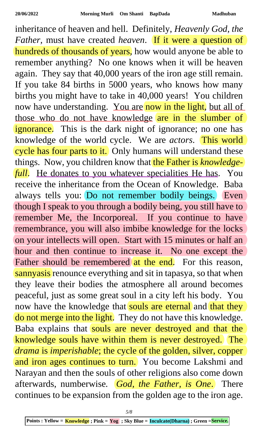inheritance of heaven and hell. Definitely, *Heavenly God, the Father*, must have created *heaven*. If it were a question of hundreds of thousands of years, how would anyone be able to remember anything? No one knows when it will be heaven again. They say that 40,000 years of the iron age still remain. If you take 84 births in 5000 years, who knows how many births you might have to take in 40,000 years! You children now have understanding. You are now in the light, but all of those who do not have knowledge are in the slumber of ignorance. This is the dark night of ignorance; no one has knowledge of the world cycle. We are *actors*. This world cycle has four parts to it. Only humans will understand these things. Now, you children know that the Father is *knowledgefull*. He donates to you whatever specialities He has. You receive the inheritance from the Ocean of Knowledge. Baba always tells you: Do not remember bodily beings. Even though I speak to you through a bodily being, you still have to remember Me, the Incorporeal. If you continue to have remembrance, you will also imbibe knowledge for the locks on your intellects will open. Start with 15 minutes or half an hour and then continue to increase it. No one except the Father should be remembered at the end. For this reason, sannyasis renounce everything and sit in tapasya, so that when they leave their bodies the atmosphere all around becomes peaceful, just as some great soul in a city left his body. You now have the knowledge that souls are eternal and that they do not merge into the light. They do not have this knowledge. Baba explains that souls are never destroyed and that the knowledge souls have within them is never destroyed. The *drama* is *imperishable*; the cycle of the golden, silver, copper and iron ages continues to turn. You become Lakshmi and Narayan and then the souls of other religions also come down afterwards, numberwise*. God, the Father, is One*. There continues to be expansion from the golden age to the iron age.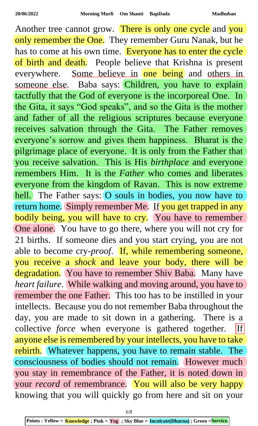Another tree cannot grow. There is only one cycle and you only remember the One. They remember Guru Nanak, but he has to come at his own time. Everyone has to enter the cycle of birth and death. People believe that Krishna is present everywhere. Some believe in one being and others in someone else. Baba says: Children, you have to explain tactfully that the God of everyone is the incorporeal One. In the Gita, it says "God speaks", and so the Gita is the mother and father of all the religious scriptures because everyone receives salvation through the Gita. The Father removes everyone's sorrow and gives them happiness. Bharat is the pilgrimage place of everyone. It is only from the Father that you receive salvation. This is His *birthplace* and everyone remembers Him. It is the *Father* who comes and liberates everyone from the kingdom of Ravan. This is now extreme hell. The Father says: O souls in bodies, you now have to return home. Simply remember Me. If you get trapped in any bodily being, you will have to cry. You have to remember One alone. You have to go there, where you will not cry for 21 births. If someone dies and you start crying, you are not able to become cry-*proof*. If, while remembering someone, you receive a *shock* and leave your body, there will be degradation. You have to remember Shiv Baba. Many have *heart failure*. While walking and moving around, you have to remember the one Father. This too has to be instilled in your intellects. Because you do not remember Baba throughout the day, you are made to sit down in a gathering. There is a collective *force* when everyone is gathered together. If anyone else is remembered by your intellects, you have to take rebirth. Whatever happens, you have to remain stable. The consciousness of bodies should not remain. However much you stay in remembrance of the Father, it is noted down in your *record* of remembrance. You will also be very happy knowing that you will quickly go from here and sit on your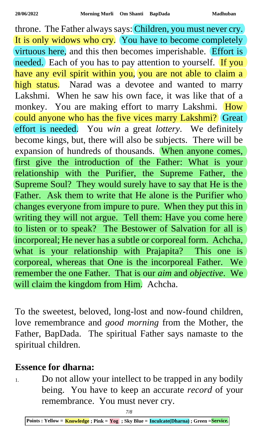throne. The Father always says: Children, you must never cry. It is only widows who cry. You have to become completely virtuous here, and this then becomes imperishable. Effort is needed. Each of you has to pay attention to yourself. If you have any evil spirit within you, you are not able to claim a high status. Narad was a devotee and wanted to marry Lakshmi. When he saw his own face, it was like that of a monkey. You are making effort to marry Lakshmi. How could anyone who has the five vices marry Lakshmi? Great effort is needed. You *win* a great *lottery*. We definitely become kings, but, there will also be subjects. There will be expansion of hundreds of thousands. When anyone comes, first give the introduction of the Father: What is your relationship with the Purifier, the Supreme Father, the Supreme Soul? They would surely have to say that He is the Father. Ask them to write that He alone is the Purifier who changes everyone from impure to pure. When they put this in writing they will not argue. Tell them: Have you come here to listen or to speak? The Bestower of Salvation for all is incorporeal; He never has a subtle or corporeal form. Achcha, what is your relationship with Prajapita? This one is corporeal, whereas that One is the incorporeal Father. We remember the one Father. That is our *aim* and *objective*. We will claim the kingdom from Him. Achcha.

To the sweetest, beloved, long-lost and now-found children, love remembrance and *good morning* from the Mother, the Father, BapDada. The spiritual Father says namaste to the spiritual children.

## **Essence for dharna:**

<sup>1.</sup> Do not allow your intellect to be trapped in any bodily being. You have to keep an accurate *record* of your remembrance. You must never cry.

**Points : Yellow = Knowledge ; Pink = Yog ; Sky Blue = Inculcate(Dharna) ; Green =Service.**